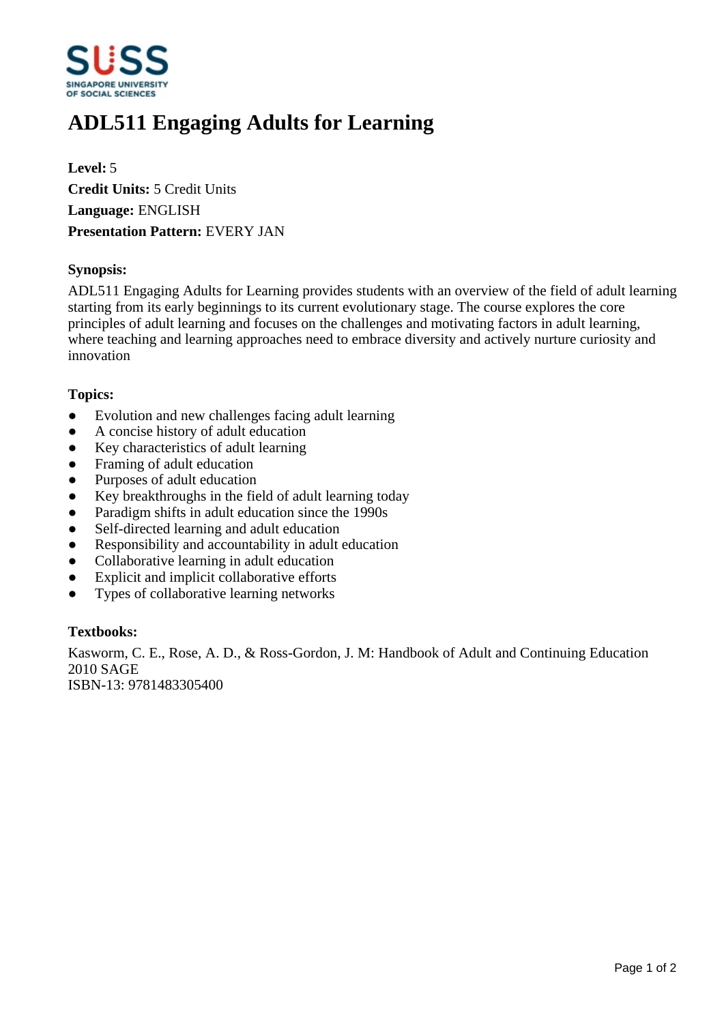

# **ADL511 Engaging Adults for Learning**

**Level:** 5 **Credit Units:** 5 Credit Units **Language:** ENGLISH **Presentation Pattern:** EVERY JAN

### **Synopsis:**

ADL511 Engaging Adults for Learning provides students with an overview of the field of adult learning starting from its early beginnings to its current evolutionary stage. The course explores the core principles of adult learning and focuses on the challenges and motivating factors in adult learning, where teaching and learning approaches need to embrace diversity and actively nurture curiosity and innovation

#### **Topics:**

- Evolution and new challenges facing adult learning
- A concise history of adult education
- Key characteristics of adult learning
- Framing of adult education
- ƔPurposes of adult education
- ƔKey breakthroughs in the field of adult learning today
- Paradigm shifts in adult education since the 1990s
- Self-directed learning and adult education
- Responsibility and accountability in adult education
- Collaborative learning in adult education
- Explicit and implicit collaborative efforts
- Types of collaborative learning networks

## **Textbooks:**

Kasworm, C. E., Rose, A. D., & Ross-Gordon, J. M: Handbook of Adult and Continuing Education 2010 SAGE

ISBN-13: 9781483305400